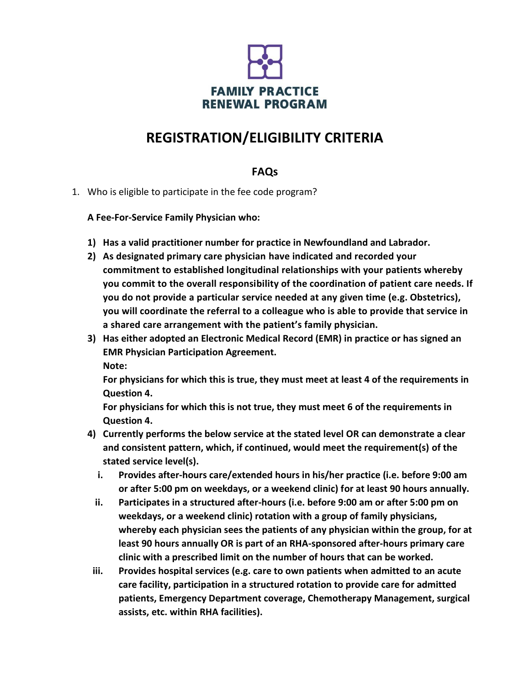

## **REGISTRATION/ELIGIBILITY CRITERIA**

## **FAQs**

1. Who is eligible to participate in the fee code program?

**A Fee-For-Service Family Physician who:**

- **1) Has a valid practitioner number for practice in Newfoundland and Labrador.**
- **2) As designated primary care physician have indicated and recorded your commitment to established longitudinal relationships with your patients whereby you commit to the overall responsibility of the coordination of patient care needs. If you do not provide a particular service needed at any given time (e.g. Obstetrics), you will coordinate the referral to a colleague who is able to provide that service in a shared care arrangement with the patient's family physician.**
- **3) Has either adopted an Electronic Medical Record (EMR) in practice or has signed an EMR Physician Participation Agreement. Note:**

**For physicians for which this is true, they must meet at least 4 of the requirements in Question 4.**

**For physicians for which this is not true, they must meet 6 of the requirements in Question 4.**

- **4) Currently performs the below service at the stated level OR can demonstrate a clear and consistent pattern, which, if continued, would meet the requirement(s) of the stated service level(s).**
	- **i. Provides after-hours care/extended hours in his/her practice (i.e. before 9:00 am or after 5:00 pm on weekdays, or a weekend clinic) for at least 90 hours annually.**
	- **ii. Participates in a structured after-hours (i.e. before 9:00 am or after 5:00 pm on weekdays, or a weekend clinic) rotation with a group of family physicians, whereby each physician sees the patients of any physician within the group, for at least 90 hours annually OR is part of an RHA-sponsored after-hours primary care clinic with a prescribed limit on the number of hours that can be worked.**
- **iii. Provides hospital services (e.g. care to own patients when admitted to an acute care facility, participation in a structured rotation to provide care for admitted patients, Emergency Department coverage, Chemotherapy Management, surgical assists, etc. within RHA facilities).**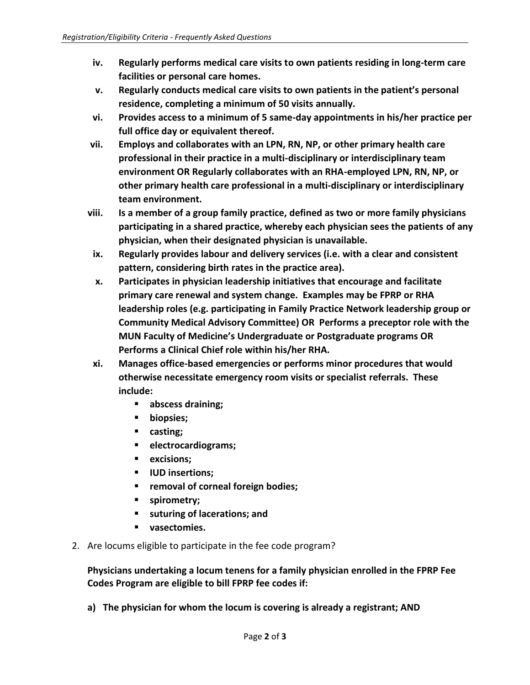- **iv. Regularly performs medical care visits to own patients residing in long-term care facilities or personal care homes.**
- **v. Regularly conducts medical care visits to own patients in the patient's personal residence, completing a minimum of 50 visits annually.**
- **vi. Provides access to a minimum of 5 same-day appointments in his/her practice per full office day or equivalent thereof.**
- **vii. Employs and collaborates with an LPN, RN, NP, or other primary health care professional in their practice in a multi-disciplinary or interdisciplinary team environment OR Regularly collaborates with an RHA-employed LPN, RN, NP, or other primary health care professional in a multi-disciplinary or interdisciplinary team environment.**
- **viii. Is a member of a group family practice, defined as two or more family physicians participating in a shared practice, whereby each physician sees the patients of any physician, when their designated physician is unavailable.**
- **ix. Regularly provides labour and delivery services (i.e. with a clear and consistent pattern, considering birth rates in the practice area).**
- **x. Participates in physician leadership initiatives that encourage and facilitate primary care renewal and system change. Examples may be FPRP or RHA leadership roles (e.g. participating in Family Practice Network leadership group or Community Medical Advisory Committee) OR Performs a preceptor role with the MUN Faculty of Medicine's Undergraduate or Postgraduate programs OR Performs a Clinical Chief role within his/her RHA.**
- **xi. Manages office-based emergencies or performs minor procedures that would otherwise necessitate emergency room visits or specialist referrals. These include:**
	- **abscess draining;**
	- **biopsies;**
	- **casting;**
	- **electrocardiograms;**
	- **excisions;**
	- **IUD insertions;**
	- **removal of corneal foreign bodies;**
	- **spirometry;**
	- **suturing of lacerations; and**
	- **vasectomies.**
- 2. Are locums eligible to participate in the fee code program?

**Physicians undertaking a locum tenens for a family physician enrolled in the FPRP Fee Codes Program are eligible to bill FPRP fee codes if:**

**a) The physician for whom the locum is covering is already a registrant; AND**